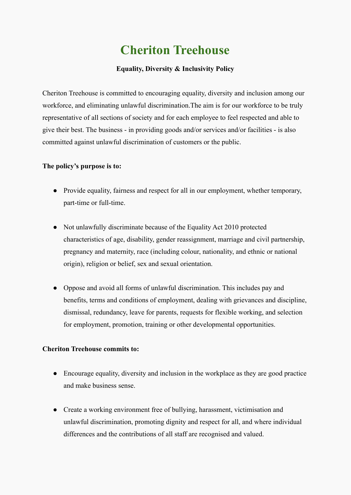## **Cheriton Treehouse**

## **Equality, Diversity & Inclusivity Policy**

Cheriton Treehouse is committed to encouraging equality, diversity and inclusion among our workforce, and eliminating unlawful discrimination.The aim is for our workforce to be truly representative of all sections of society and for each employee to feel respected and able to give their best. The business - in providing goods and/or services and/or facilities - is also committed against unlawful discrimination of customers or the public.

## **The policy's purpose is to:**

- Provide equality, fairness and respect for all in our employment, whether temporary, part-time or full-time.
- Not unlawfully discriminate because of the Equality Act 2010 protected characteristics of age, disability, gender reassignment, marriage and civil partnership, pregnancy and maternity, race (including colour, nationality, and ethnic or national origin), religion or belief, sex and sexual orientation.
- Oppose and avoid all forms of unlawful discrimination. This includes pay and benefits, terms and conditions of employment, dealing with grievances and discipline, dismissal, redundancy, leave for parents, requests for flexible working, and selection for employment, promotion, training or other developmental opportunities.

## **Cheriton Treehouse commits to:**

- Encourage equality, diversity and inclusion in the workplace as they are good practice and make business sense.
- Create a working environment free of bullying, harassment, victimisation and unlawful discrimination, promoting dignity and respect for all, and where individual differences and the contributions of all staff are recognised and valued.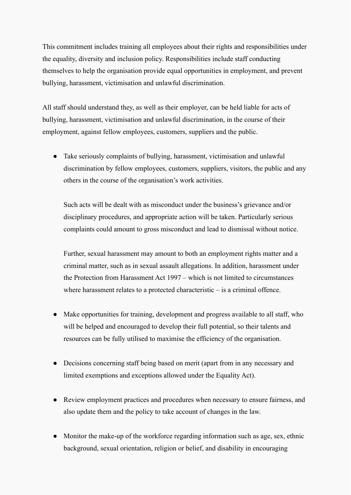This commitment includes training all employees about their rights and responsibilities under the equality, diversity and inclusion policy. Responsibilities include staff conducting themselves to help the organisation provide equal opportunities in employment, and prevent bullying, harassment, victimisation and unlawful discrimination.

All staff should understand they, as well as their employer, can be held liable for acts of bullying, harassment, victimisation and unlawful discrimination, in the course of their employment, against fellow employees, customers, suppliers and the public.

• Take seriously complaints of bullying, harassment, victimisation and unlawful discrimination by fellow employees, customers, suppliers, visitors, the public and any others in the course of the organisation's work activities.

Such acts will be dealt with as misconduct under the business's grievance and/or disciplinary procedures, and appropriate action will be taken. Particularly serious complaints could amount to gross misconduct and lead to dismissal without notice.

Further, sexual harassment may amount to both an employment rights matter and a criminal matter, such as in sexual assault allegations. In addition, harassment under the Protection from Harassment Act 1997 – which is not limited to circumstances where harassment relates to a protected characteristic – is a criminal offence.

- Make opportunities for training, development and progress available to all staff, who will be helped and encouraged to develop their full potential, so their talents and resources can be fully utilised to maximise the efficiency of the organisation.
- Decisions concerning staff being based on merit (apart from in any necessary and limited exemptions and exceptions allowed under the Equality Act).
- Review employment practices and procedures when necessary to ensure fairness, and also update them and the policy to take account of changes in the law.
- Monitor the make-up of the workforce regarding information such as age, sex, ethnic background, sexual orientation, religion or belief, and disability in encouraging